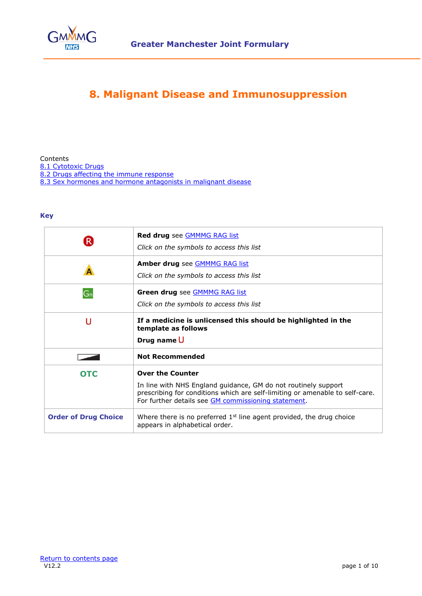

# **8. Malignant Disease and Immunosuppression**

<span id="page-0-0"></span>

| Contents                                                      |  |
|---------------------------------------------------------------|--|
| 8.1 Cytotoxic Drugs                                           |  |
| 8.2 Drugs affecting the immune response                       |  |
| 8.3 Sex hormones and hormone antagonists in malignant disease |  |

#### **Key**

| R.                          | Red drug see GMMMG RAG list<br>Click on the symbols to access this list                                                                                                                                                          |
|-----------------------------|----------------------------------------------------------------------------------------------------------------------------------------------------------------------------------------------------------------------------------|
|                             | Amber drug see GMMMG RAG list<br>Click on the symbols to access this list                                                                                                                                                        |
| $G_n$                       | Green drug see <b>GMMMG RAG list</b><br>Click on the symbols to access this list                                                                                                                                                 |
| U                           | If a medicine is unlicensed this should be highlighted in the<br>template as follows<br>Drug name U                                                                                                                              |
|                             | <b>Not Recommended</b>                                                                                                                                                                                                           |
| <b>OTC</b>                  | <b>Over the Counter</b><br>In line with NHS England guidance, GM do not routinely support<br>prescribing for conditions which are self-limiting or amenable to self-care.<br>For further details see GM commissioning statement. |
| <b>Order of Drug Choice</b> | Where there is no preferred $1st$ line agent provided, the drug choice<br>appears in alphabetical order.                                                                                                                         |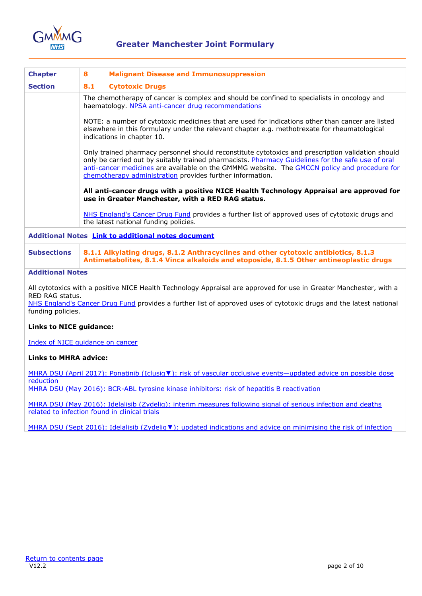

<span id="page-1-0"></span>

| <b>Chapter</b>                                            | <b>Malignant Disease and Immunosuppression</b><br>8                                                                                                                                                                                                                                                                                                                                                                                                                                                                                                                                                                                                                                                                                                   |  |
|-----------------------------------------------------------|-------------------------------------------------------------------------------------------------------------------------------------------------------------------------------------------------------------------------------------------------------------------------------------------------------------------------------------------------------------------------------------------------------------------------------------------------------------------------------------------------------------------------------------------------------------------------------------------------------------------------------------------------------------------------------------------------------------------------------------------------------|--|
| <b>Section</b>                                            | 8.1<br><b>Cytotoxic Drugs</b>                                                                                                                                                                                                                                                                                                                                                                                                                                                                                                                                                                                                                                                                                                                         |  |
|                                                           | The chemotherapy of cancer is complex and should be confined to specialists in oncology and<br>haematology. NPSA anti-cancer drug recommendations                                                                                                                                                                                                                                                                                                                                                                                                                                                                                                                                                                                                     |  |
|                                                           | NOTE: a number of cytotoxic medicines that are used for indications other than cancer are listed<br>elsewhere in this formulary under the relevant chapter e.g. methotrexate for rheumatological<br>indications in chapter 10.<br>Only trained pharmacy personnel should reconstitute cytotoxics and prescription validation should<br>only be carried out by suitably trained pharmacists. Pharmacy Guidelines for the safe use of oral<br>anti-cancer medicines are available on the GMMMG website. The GMCCN policy and procedure for<br>chemotherapy administration provides further information.<br>All anti-cancer drugs with a positive NICE Health Technology Appraisal are approved for<br>use in Greater Manchester, with a RED RAG status. |  |
|                                                           |                                                                                                                                                                                                                                                                                                                                                                                                                                                                                                                                                                                                                                                                                                                                                       |  |
|                                                           |                                                                                                                                                                                                                                                                                                                                                                                                                                                                                                                                                                                                                                                                                                                                                       |  |
|                                                           | NHS England's Cancer Drug Fund provides a further list of approved uses of cytotoxic drugs and<br>the latest national funding policies.                                                                                                                                                                                                                                                                                                                                                                                                                                                                                                                                                                                                               |  |
| Additional Notes <b>Link to additional notes document</b> |                                                                                                                                                                                                                                                                                                                                                                                                                                                                                                                                                                                                                                                                                                                                                       |  |
| <b>Subsections</b>                                        | 8.1.1 Alkylating drugs, 8.1.2 Anthracyclines and other cytotoxic antibiotics, 8.1.3<br>Antimetabolites, 8.1.4 Vinca alkaloids and etoposide, 8.1.5 Other antineoplastic drugs                                                                                                                                                                                                                                                                                                                                                                                                                                                                                                                                                                         |  |
| <b>Additional Notes</b>                                   |                                                                                                                                                                                                                                                                                                                                                                                                                                                                                                                                                                                                                                                                                                                                                       |  |

All cytotoxics with a positive NICE Health Technology Appraisal are approved for use in Greater Manchester, with a RED RAG status.

[NHS England's Cancer Drug Fund](http://www.england.nhs.uk/ourwork/pe/cdf/) provides a further list of approved uses of cytotoxic drugs and the latest national funding policies.

#### **Links to NICE guidance:**

[Index of NICE guidance on cancer](https://www.nice.org.uk/guidance/conditions-and-diseases/cancer)

#### **Links to MHRA advice:**

MHRA DSU (April 2017): Ponatinib (Iclusiq v): risk of vascular occlusive events—updated advice on possible dose [reduction](https://www.gov.uk/drug-safety-update/ponatinib-iclusig-risk-of-vascular-occlusive-events-updated-advice-on-possible-dose-reduction) [MHRA DSU \(May 2016\): BCR-ABL tyrosine kinase inhibitors: risk of hepatitis B reactivation](https://www.gov.uk/drug-safety-update/bcr-abl-tyrosine-kinase-inhibitors-risk-of-hepatitis-b-reactivation)

[MHRA DSU \(May 2016\): Idelalisib \(Zydelig\): interim measures following signal of serious infection and deaths](https://www.gov.uk/drug-safety-update/idelalisib-zydelig-interim-measures-following-signal-of-serious-infection-and-deaths-related-to-infection-found-in-clinical-trials)  related [to infection found in clinical trials](https://www.gov.uk/drug-safety-update/idelalisib-zydelig-interim-measures-following-signal-of-serious-infection-and-deaths-related-to-infection-found-in-clinical-trials)

MHRA DSU (Sept 2016): Idelalisib (Zydelig ▼[\): updated indications and advice on minimising the risk of infection](https://www.gov.uk/drug-safety-update/idelalisib-zydelig-updated-indications-and-advice-on-minimising-the-risk-of-infection)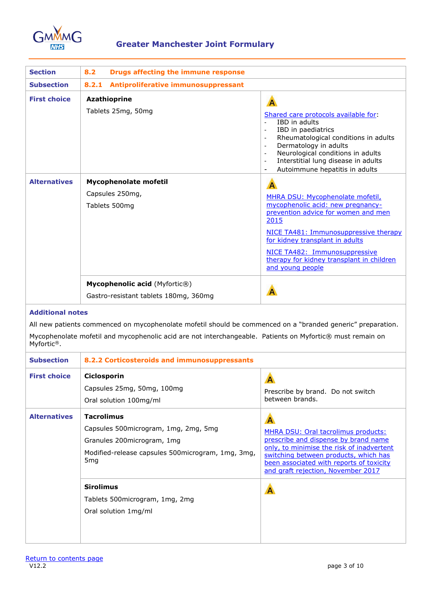

<span id="page-2-0"></span>

| <b>Section</b>      | <b>Drugs affecting the immune response</b><br>8.2                             |                                                                                                                                                                                                                                                                                                                                                                |
|---------------------|-------------------------------------------------------------------------------|----------------------------------------------------------------------------------------------------------------------------------------------------------------------------------------------------------------------------------------------------------------------------------------------------------------------------------------------------------------|
| <b>Subsection</b>   | Antiproliferative immunosuppressant<br>8.2.1                                  |                                                                                                                                                                                                                                                                                                                                                                |
| <b>First choice</b> | <b>Azathioprine</b><br>Tablets 25mg, 50mg                                     | $\overline{A}$<br>Shared care protocols available for:<br>IBD in adults<br>IBD in paediatrics<br>Rheumatological conditions in adults<br>$\qquad \qquad \blacksquare$<br>Dermatology in adults<br>$\blacksquare$<br>Neurological conditions in adults<br>$\qquad \qquad \blacksquare$<br>Interstitial lung disease in adults<br>Autoimmune hepatitis in adults |
| <b>Alternatives</b> | Mycophenolate mofetil<br>Capsules 250mg,<br>Tablets 500mg                     | $\overline{A}$<br>MHRA DSU: Mycophenolate mofetil,<br>mycophenolic acid: new pregnancy-<br>prevention advice for women and men<br>2015<br>NICE TA481: Immunosuppressive therapy<br>for kidney transplant in adults<br>NICE TA482: Immunosuppressive<br>therapy for kidney transplant in children<br>and young people                                           |
|                     | <b>Mycophenolic acid</b> (Myfortic®)<br>Gastro-resistant tablets 180mg, 360mg | A                                                                                                                                                                                                                                                                                                                                                              |

### **Additional notes**

All new patients commenced on mycophenolate mofetil should be commenced on a "branded generic" preparation. Mycophenolate mofetil and mycophenolic acid are not interchangeable. Patients on Myfortic® must remain on Myfortic®.

| <b>Subsection</b>   | 8.2.2 Corticosteroids and immunosuppressants                                                                                                                          |                                                                                                                                                                                                                                                                     |
|---------------------|-----------------------------------------------------------------------------------------------------------------------------------------------------------------------|---------------------------------------------------------------------------------------------------------------------------------------------------------------------------------------------------------------------------------------------------------------------|
| <b>First choice</b> | Ciclosporin<br>Capsules 25mg, 50mg, 100mg<br>Oral solution 100mg/ml                                                                                                   | $\mathsf{A}$<br>Prescribe by brand. Do not switch<br>between brands.                                                                                                                                                                                                |
| <b>Alternatives</b> | <b>Tacrolimus</b><br>Capsules 500 microgram, 1mg, 2mg, 5mg<br>Granules 200 microgram, 1 mg<br>Modified-release capsules 500 microgram, 1 mg, 3 mg,<br>5 <sub>mg</sub> | $\mathsf{A}$<br>MHRA DSU: Oral tacrolimus products:<br>prescribe and dispense by brand name<br>only, to minimise the risk of inadvertent<br>switching between products, which has<br>been associated with reports of toxicity<br>and graft rejection, November 2017 |
|                     | <b>Sirolimus</b><br>Tablets 500microgram, 1mg, 2mg<br>Oral solution 1mg/ml                                                                                            | A                                                                                                                                                                                                                                                                   |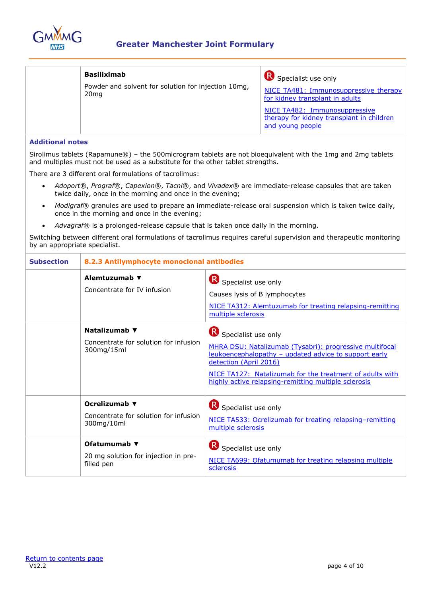

| <b>Basiliximab</b><br>Powder and solvent for solution for injection 10mg,<br>20 <sub>mg</sub> | Specialist use only<br>NICE TA481: Immunosuppressive therapy<br>for kidney transplant in adults |
|-----------------------------------------------------------------------------------------------|-------------------------------------------------------------------------------------------------|
|                                                                                               | NICE TA482: Immunosuppressive<br>therapy for kidney transplant in children<br>and young people  |

#### **Additional notes**

Sirolimus tablets (Rapamune®) – the 500microgram tablets are not bioequivalent with the 1mg and 2mg tablets and multiples must not be used as a substitute for the other tablet strengths.

There are 3 different oral formulations of tacrolimus:

- *Adoport*®, *Prograf*®, *Capexion*®, *Tacni*®, and *Vivadex*® are immediate-release capsules that are taken twice daily, once in the morning and once in the evening;
- *Modigraf*® granules are used to prepare an immediate-release oral suspension which is taken twice daily, once in the morning and once in the evening;
- *Advagraf*® is a prolonged-release capsule that is taken once daily in the morning.

Switching between different oral formulations of tacrolimus requires careful supervision and therapeutic monitoring by an appropriate specialist.

| <b>Subsection</b> | 8.2.3 Antilymphocyte monoclonal antibodies                           |                                                                                                                                                                                                                                                                                       |
|-------------------|----------------------------------------------------------------------|---------------------------------------------------------------------------------------------------------------------------------------------------------------------------------------------------------------------------------------------------------------------------------------|
|                   | Alemtuzumab ▼<br>Concentrate for IV infusion                         | Specialist use only<br>Causes lysis of B lymphocytes<br>NICE TA312: Alemtuzumab for treating relapsing-remitting<br>multiple sclerosis                                                                                                                                                |
|                   | Natalizumab ▼<br>Concentrate for solution for infusion<br>300mg/15ml | Specialist use only<br>MHRA DSU: Natalizumab (Tysabri): progressive multifocal<br>leukoencephalopathy - updated advice to support early<br>detection (April 2016)<br>NICE TA127: Natalizumab for the treatment of adults with<br>highly active relapsing-remitting multiple sclerosis |
|                   | Ocrelizumab ▼<br>Concentrate for solution for infusion<br>300mg/10ml | Specialist use only<br>NICE TA533: Ocrelizumab for treating relapsing-remitting<br>multiple sclerosis                                                                                                                                                                                 |
|                   | Ofatumumab ▼<br>20 mg solution for injection in pre-<br>filled pen   | Specialist use only<br>NICE TA699: Ofatumumab for treating relapsing multiple<br>sclerosis                                                                                                                                                                                            |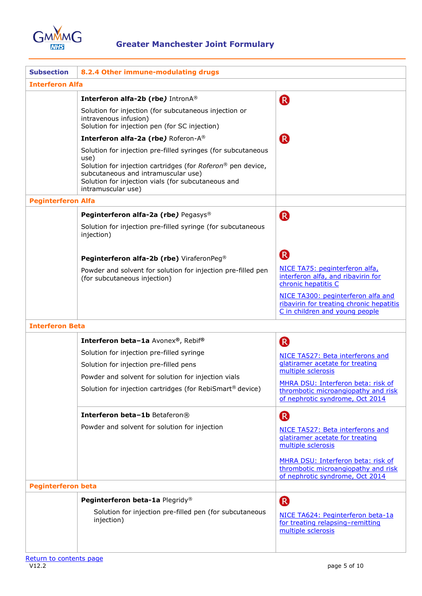

| <b>Subsection</b>         | 8.2.4 Other immune-modulating drugs                                                                                                                                                                                                                    |                                                                                                                  |  |
|---------------------------|--------------------------------------------------------------------------------------------------------------------------------------------------------------------------------------------------------------------------------------------------------|------------------------------------------------------------------------------------------------------------------|--|
| <b>Interferon Alfa</b>    |                                                                                                                                                                                                                                                        |                                                                                                                  |  |
|                           | Interferon alfa-2b (rbe) IntronA®                                                                                                                                                                                                                      | R                                                                                                                |  |
|                           | Solution for injection (for subcutaneous injection or<br>intravenous infusion)<br>Solution for injection pen (for SC injection)                                                                                                                        |                                                                                                                  |  |
|                           | Interferon alfa-2a (rbe) Roferon-A®                                                                                                                                                                                                                    | (R)                                                                                                              |  |
|                           | Solution for injection pre-filled syringes (for subcutaneous<br>use)<br>Solution for injection cartridges (for Roferon® pen device,<br>subcutaneous and intramuscular use)<br>Solution for injection vials (for subcutaneous and<br>intramuscular use) |                                                                                                                  |  |
| <b>Peginterferon Alfa</b> |                                                                                                                                                                                                                                                        |                                                                                                                  |  |
|                           | Peginterferon alfa-2a (rbe) Pegasys®                                                                                                                                                                                                                   | (R)                                                                                                              |  |
|                           | Solution for injection pre-filled syringe (for subcutaneous<br>injection)                                                                                                                                                                              |                                                                                                                  |  |
|                           | Peginterferon alfa-2b (rbe) ViraferonPeg®                                                                                                                                                                                                              | <sup>R</sup>                                                                                                     |  |
|                           | Powder and solvent for solution for injection pre-filled pen<br>(for subcutaneous injection)                                                                                                                                                           | NICE TA75: peginterferon alfa,<br>interferon alfa, and ribavirin for<br>chronic hepatitis C                      |  |
|                           |                                                                                                                                                                                                                                                        | NICE TA300: peginterferon alfa and<br>ribavirin for treating chronic hepatitis<br>C in children and young people |  |
| <b>Interferon Beta</b>    |                                                                                                                                                                                                                                                        |                                                                                                                  |  |
|                           | Interferon beta-1a Avonex®, Rebif®                                                                                                                                                                                                                     | R                                                                                                                |  |
|                           | Solution for injection pre-filled syringe<br>Solution for injection pre-filled pens                                                                                                                                                                    | NICE TA527: Beta interferons and<br>glatiramer acetate for treating<br>multiple sclerosis                        |  |
|                           | Powder and solvent for solution for injection vials<br>Solution for injection cartridges (for RebiSmart® device)                                                                                                                                       | MHRA DSU: Interferon beta: risk of<br>thrombotic microangiopathy and risk<br>of nephrotic syndrome, Oct 2014     |  |
|                           | Interferon beta-1b Betaferon®                                                                                                                                                                                                                          | R                                                                                                                |  |
|                           | Powder and solvent for solution for injection                                                                                                                                                                                                          | NICE TA527: Beta interferons and<br>glatiramer acetate for treating<br>multiple sclerosis                        |  |
| <b>Peginterferon beta</b> |                                                                                                                                                                                                                                                        | MHRA DSU: Interferon beta: risk of<br>thrombotic microangiopathy and risk<br>of nephrotic syndrome, Oct 2014     |  |
|                           | Peginterferon beta-1a Plegridy®                                                                                                                                                                                                                        |                                                                                                                  |  |
|                           | Solution for injection pre-filled pen (for subcutaneous<br>injection)                                                                                                                                                                                  | R<br>NICE TA624: Peginterferon beta-1a<br>for treating relapsing-remitting<br>multiple sclerosis                 |  |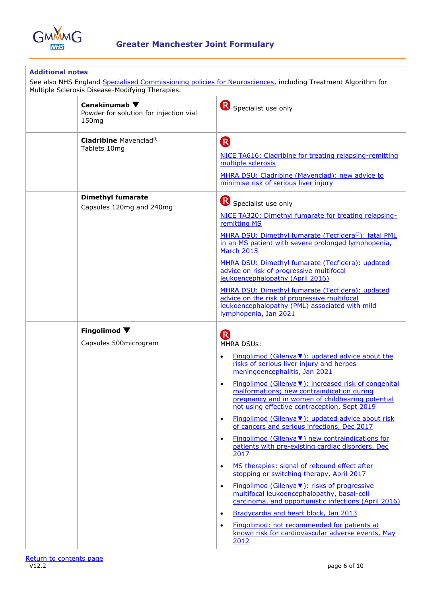

| <b>Additional notes</b><br>See also NHS England Specialised Commissioning policies for Neurosciences, including Treatment Algorithm for<br>Multiple Sclerosis Disease-Modifying Therapies. |                                                                                                                                                                                                                                                                                                                                                                                                                                                                                                                                                                                                                                                                                                                                                                                                                                                                                                                                                                                                                                                                                                                                         |  |
|--------------------------------------------------------------------------------------------------------------------------------------------------------------------------------------------|-----------------------------------------------------------------------------------------------------------------------------------------------------------------------------------------------------------------------------------------------------------------------------------------------------------------------------------------------------------------------------------------------------------------------------------------------------------------------------------------------------------------------------------------------------------------------------------------------------------------------------------------------------------------------------------------------------------------------------------------------------------------------------------------------------------------------------------------------------------------------------------------------------------------------------------------------------------------------------------------------------------------------------------------------------------------------------------------------------------------------------------------|--|
| Canakinumab $\blacktriangledown$<br>Powder for solution for injection vial<br>150mg                                                                                                        | Specialist use only                                                                                                                                                                                                                                                                                                                                                                                                                                                                                                                                                                                                                                                                                                                                                                                                                                                                                                                                                                                                                                                                                                                     |  |
| <b>Cladribine Mavenclad®</b><br>Tablets 10mg                                                                                                                                               | R)<br>NICE TA616: Cladribine for treating relapsing-remitting<br>multiple sclerosis<br>MHRA DSU: Cladribine (Mavenclad): new advice to<br>minimise risk of serious liver injury                                                                                                                                                                                                                                                                                                                                                                                                                                                                                                                                                                                                                                                                                                                                                                                                                                                                                                                                                         |  |
| <b>Dimethyl fumarate</b><br>Capsules 120mg and 240mg                                                                                                                                       | Specialist use only<br>NICE TA320: Dimethyl fumarate for treating relapsing-<br>remitting MS<br>MHRA DSU: Dimethyl fumarate (Tecfidera®): fatal PML<br>in an MS patient with severe prolonged lymphopenia,<br><b>March 2015</b><br>MHRA DSU: Dimethyl fumarate (Tecfidera): updated<br>advice on risk of progressive multifocal<br>leukoencephalopathy (April 2016)<br>MHRA DSU: Dimethyl fumarate (Tecfidera): updated<br>advice on the risk of progressive multifocal<br>leukoencephalopathy (PML) associated with mild<br>lymphopenia, Jan 2021                                                                                                                                                                                                                                                                                                                                                                                                                                                                                                                                                                                      |  |
| Fingolimod $\blacktriangledown$<br>Capsules 500microgram                                                                                                                                   | $\left( \mathsf{R}\right)$<br><b>MHRA DSUs:</b><br>Fingolimod (Gilenya V): updated advice about the<br>$\bullet$<br>risks of serious liver injury and herpes<br>meningoencephalitis, Jan 2021<br>Fingolimod (Gilenya V): increased risk of congenital<br>$\bullet$<br>malformations; new contraindication during<br>pregnancy and in women of childbearing potential<br>not using effective contraception, Sept 2019<br>Fingolimod (Gilenya ▼): updated advice about risk<br>$\bullet$<br>of cancers and serious infections, Dec 2017<br>Fingolimod (Gilenya $\nabla$ ) new contraindications for<br>$\bullet$<br>patients with pre-existing cardiac disorders, Dec<br>2017<br>MS therapies: signal of rebound effect after<br>$\bullet$<br>stopping or switching therapy, April 2017<br>Fingolimod (Gilenya ▼): risks of progressive<br>$\bullet$<br>multifocal leukoencephalopathy, basal-cell<br>carcinoma, and opportunistic infections (April 2016)<br>Bradycardia and heart block, Jan 2013<br>$\bullet$<br>Fingolimod: not recommended for patients at<br>$\bullet$<br>known risk for cardiovascular adverse events, May<br>2012 |  |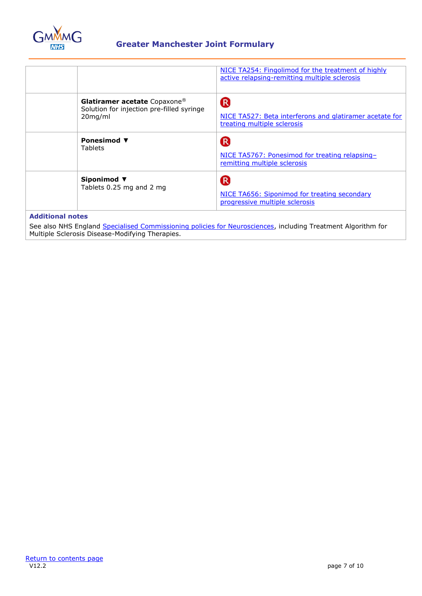

|                                                                                         | NICE TA254: Fingolimod for the treatment of highly<br>active relapsing-remitting multiple sclerosis               |
|-----------------------------------------------------------------------------------------|-------------------------------------------------------------------------------------------------------------------|
| Glatiramer acetate Copaxone®<br>Solution for injection pre-filled syringe<br>$20$ mg/ml | $\overline{\mathsf{R}}$<br>NICE TA527: Beta interferons and glatiramer acetate for<br>treating multiple sclerosis |
| Ponesimod $\blacktriangledown$<br><b>Tablets</b>                                        | R<br>NICE TA5767: Ponesimod for treating relapsing-<br>remitting multiple sclerosis                               |
| Siponimod ▼<br>Tablets 0.25 mg and 2 mg                                                 | R<br>NICE TA656: Siponimod for treating secondary<br>progressive multiple sclerosis                               |

## **Additional notes**

See also NHS England [Specialised Commissioning policies for Neurosciences,](https://www.england.nhs.uk/commissioning/spec-services/npc-crg/group-d/d04/) including Treatment Algorithm for Multiple Sclerosis Disease-Modifying Therapies.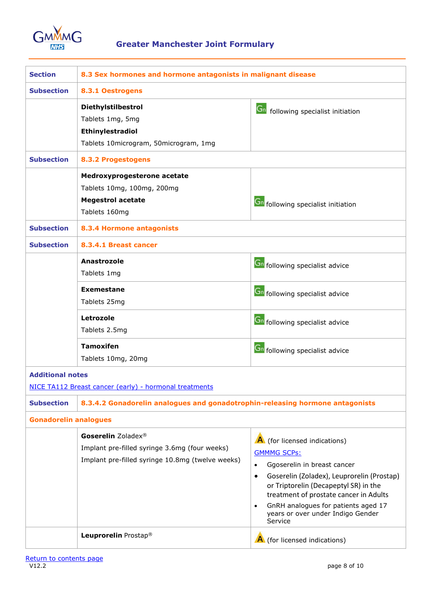

<span id="page-7-0"></span>

| <b>Section</b>               | 8.3 Sex hormones and hormone antagonists in malignant disease                                                           |                                                                                                                                                                                                                                                                                                                                                  |
|------------------------------|-------------------------------------------------------------------------------------------------------------------------|--------------------------------------------------------------------------------------------------------------------------------------------------------------------------------------------------------------------------------------------------------------------------------------------------------------------------------------------------|
| <b>Subsection</b>            | 8.3.1 Oestrogens                                                                                                        |                                                                                                                                                                                                                                                                                                                                                  |
|                              | Diethylstilbestrol<br>Tablets 1mg, 5mg<br>Ethinylestradiol<br>Tablets 10microgram, 50microgram, 1mg                     | <b>Gn</b> following specialist initiation                                                                                                                                                                                                                                                                                                        |
| <b>Subsection</b>            | <b>8.3.2 Progestogens</b>                                                                                               |                                                                                                                                                                                                                                                                                                                                                  |
|                              | Medroxyprogesterone acetate<br>Tablets 10mg, 100mg, 200mg<br><b>Megestrol acetate</b><br>Tablets 160mg                  | <b>Gn</b> following specialist initiation                                                                                                                                                                                                                                                                                                        |
| <b>Subsection</b>            | 8.3.4 Hormone antagonists                                                                                               |                                                                                                                                                                                                                                                                                                                                                  |
| <b>Subsection</b>            | 8.3.4.1 Breast cancer                                                                                                   |                                                                                                                                                                                                                                                                                                                                                  |
|                              | Anastrozole<br>Tablets 1mg<br><b>Exemestane</b>                                                                         | <b>Gn</b> following specialist advice<br><b>Gn</b> following specialist advice                                                                                                                                                                                                                                                                   |
|                              | Tablets 25mg                                                                                                            |                                                                                                                                                                                                                                                                                                                                                  |
|                              | Letrozole<br>Tablets 2.5mg                                                                                              | <b>Gn</b> following specialist advice                                                                                                                                                                                                                                                                                                            |
|                              | <b>Tamoxifen</b><br>Tablets 10mg, 20mg                                                                                  | <b>Gn</b> following specialist advice                                                                                                                                                                                                                                                                                                            |
| <b>Additional notes</b>      | NICE TA112 Breast cancer (early) - hormonal treatments                                                                  |                                                                                                                                                                                                                                                                                                                                                  |
| <b>Subsection</b>            | 8.3.4.2 Gonadorelin analogues and gonadotrophin-releasing hormone antagonists                                           |                                                                                                                                                                                                                                                                                                                                                  |
| <b>Gonadorelin analogues</b> |                                                                                                                         |                                                                                                                                                                                                                                                                                                                                                  |
|                              | Goserelin Zoladex®<br>Implant pre-filled syringe 3.6mg (four weeks)<br>Implant pre-filled syringe 10.8mg (twelve weeks) | A (for licensed indications)<br><b>GMMMG SCPs:</b><br>Ggoserelin in breast cancer<br>$\bullet$<br>Goserelin (Zoladex), Leuprorelin (Prostap)<br>$\bullet$<br>or Triptorelin (Decapeptyl SR) in the<br>treatment of prostate cancer in Adults<br>GnRH analogues for patients aged 17<br>$\bullet$<br>years or over under Indigo Gender<br>Service |
|                              | Leuprorelin Prostap <sup>®</sup>                                                                                        | A (for licensed indications)                                                                                                                                                                                                                                                                                                                     |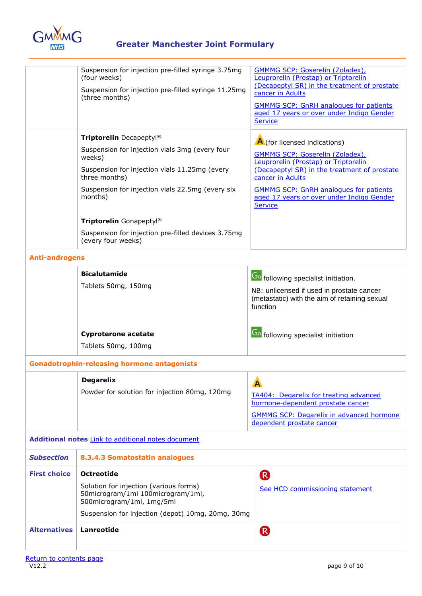

# **Greater Manchester Joint Formulary**

|                       | Suspension for injection pre-filled syringe 3.75mg<br>(four weeks)<br>Suspension for injection pre-filled syringe 11.25mg<br>(three months)<br>Triptorelin Decapeptyl®<br>Suspension for injection vials 3mg (every four<br>weeks)<br>Suspension for injection vials 11.25mg (every<br>three months)<br>Suspension for injection vials 22.5mg (every six<br>months)<br>Triptorelin Gonapeptyl®<br>Suspension for injection pre-filled devices 3.75mg | <b>GMMMG SCP: Goserelin (Zoladex)</b> ,<br>Leuprorelin (Prostap) or Triptorelin<br>(Decapeptyl SR) in the treatment of prostate<br>cancer in Adults<br><b>GMMMG SCP: GnRH analogues for patients</b><br>aged 17 years or over under Indigo Gender<br>Service<br>A (for licensed indications)<br><b>GMMMG SCP: Goserelin (Zoladex)</b> ,<br>Leuprorelin (Prostap) or Triptorelin<br>(Decapeptyl SR) in the treatment of prostate<br>cancer in Adults<br><b>GMMMG SCP: GnRH analogues for patients</b><br>aged 17 years or over under Indigo Gender<br>Service |
|-----------------------|------------------------------------------------------------------------------------------------------------------------------------------------------------------------------------------------------------------------------------------------------------------------------------------------------------------------------------------------------------------------------------------------------------------------------------------------------|--------------------------------------------------------------------------------------------------------------------------------------------------------------------------------------------------------------------------------------------------------------------------------------------------------------------------------------------------------------------------------------------------------------------------------------------------------------------------------------------------------------------------------------------------------------|
| <b>Anti-androgens</b> | (every four weeks)                                                                                                                                                                                                                                                                                                                                                                                                                                   |                                                                                                                                                                                                                                                                                                                                                                                                                                                                                                                                                              |
|                       | <b>Bicalutamide</b><br>Tablets 50mg, 150mg                                                                                                                                                                                                                                                                                                                                                                                                           | <b>Gn</b> following specialist initiation.<br>NB: unlicensed if used in prostate cancer<br>(metastatic) with the aim of retaining sexual<br>function                                                                                                                                                                                                                                                                                                                                                                                                         |
|                       | <b>Cyproterone acetate</b><br>Tablets 50mg, 100mg                                                                                                                                                                                                                                                                                                                                                                                                    | <b>Gn</b> following specialist initiation                                                                                                                                                                                                                                                                                                                                                                                                                                                                                                                    |
|                       | <b>Gonadotrophin-releasing hormone antagonists</b>                                                                                                                                                                                                                                                                                                                                                                                                   |                                                                                                                                                                                                                                                                                                                                                                                                                                                                                                                                                              |
|                       | <b>Degarelix</b><br>Powder for solution for injection 80mg, 120mg                                                                                                                                                                                                                                                                                                                                                                                    | A<br><b>TA404: Degarelix for treating advanced</b><br>hormone-dependent prostate cancer<br><b>GMMMG SCP: Degarelix in advanced hormone</b><br>dependent prostate cancer                                                                                                                                                                                                                                                                                                                                                                                      |
|                       | Additional notes Link to additional notes document                                                                                                                                                                                                                                                                                                                                                                                                   |                                                                                                                                                                                                                                                                                                                                                                                                                                                                                                                                                              |
| <b>Subsection</b>     | 8.3.4.3 Somatostatin analogues                                                                                                                                                                                                                                                                                                                                                                                                                       |                                                                                                                                                                                                                                                                                                                                                                                                                                                                                                                                                              |
| <b>First choice</b>   | <b>Octreotide</b><br>Solution for injection (various forms)<br>50microgram/1ml 100microgram/1ml,<br>500microgram/1ml, 1mg/5ml<br>Suspension for injection (depot) 10mg, 20mg, 30mg                                                                                                                                                                                                                                                                   | R<br>See HCD commissioning statement                                                                                                                                                                                                                                                                                                                                                                                                                                                                                                                         |
| <b>Alternatives</b>   | Lanreotide                                                                                                                                                                                                                                                                                                                                                                                                                                           | (R)                                                                                                                                                                                                                                                                                                                                                                                                                                                                                                                                                          |